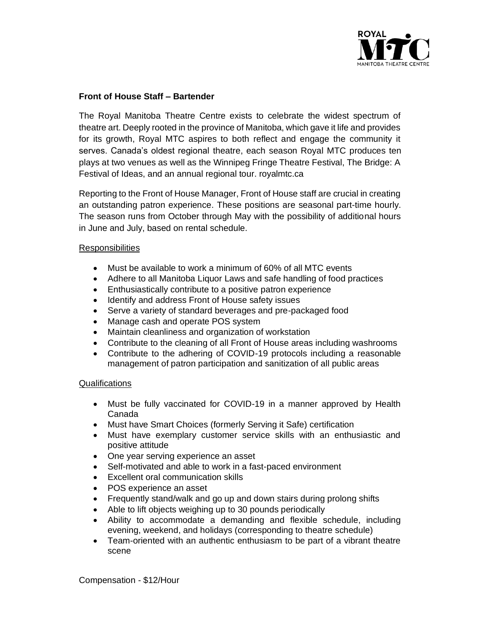

## **Front of House Staff – Bartender**

The Royal Manitoba Theatre Centre exists to celebrate the widest spectrum of theatre art. Deeply rooted in the province of Manitoba, which gave it life and provides for its growth, Royal MTC aspires to both reflect and engage the community it serves. Canada's oldest regional theatre, each season Royal MTC produces ten plays at two venues as well as the Winnipeg Fringe Theatre Festival, The Bridge: A Festival of Ideas, and an annual regional tour. royalmtc.ca

Reporting to the Front of House Manager, Front of House staff are crucial in creating an outstanding patron experience. These positions are seasonal part-time hourly. The season runs from October through May with the possibility of additional hours in June and July, based on rental schedule.

## Responsibilities

- Must be available to work a minimum of 60% of all MTC events
- Adhere to all Manitoba Liquor Laws and safe handling of food practices
- Enthusiastically contribute to a positive patron experience
- Identify and address Front of House safety issues
- Serve a variety of standard beverages and pre-packaged food
- Manage cash and operate POS system
- Maintain cleanliness and organization of workstation
- Contribute to the cleaning of all Front of House areas including washrooms
- Contribute to the adhering of COVID-19 protocols including a reasonable management of patron participation and sanitization of all public areas

## Qualifications

- Must be fully vaccinated for COVID-19 in a manner approved by Health Canada
- Must have Smart Choices (formerly Serving it Safe) certification
- Must have exemplary customer service skills with an enthusiastic and positive attitude
- One year serving experience an asset
- Self-motivated and able to work in a fast-paced environment
- Excellent oral communication skills
- POS experience an asset
- Frequently stand/walk and go up and down stairs during prolong shifts
- Able to lift objects weighing up to 30 pounds periodically
- Ability to accommodate a demanding and flexible schedule, including evening, weekend, and holidays (corresponding to theatre schedule)
- Team-oriented with an authentic enthusiasm to be part of a vibrant theatre scene